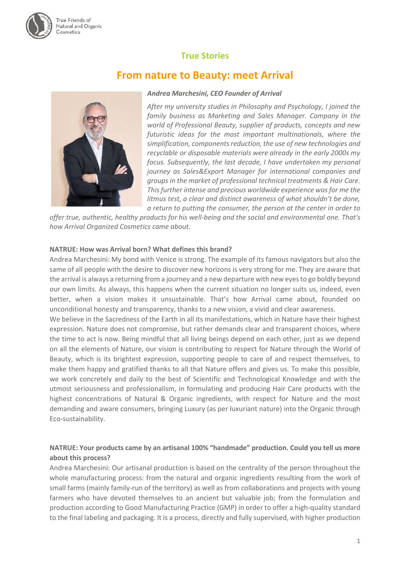# **True Stories**

# **From nature to Beauty: meet Arrival**



#### *Andrea Marchesini, CEO Founder of Arrival*

*After my university studies in Philosophy and Psychology, I joined the family business as Marketing and Sales Manager. Company in the world of Professional Beauty, supplier of products, concepts and new futuristic ideas for the most important multinationals, where the simplification, components reduction, the use of new technologies and recyclable or disposable materials were already in the early 2000s my focus. Subsequently, the last decade, I have undertaken my personal journey as Sales&Export Manager for international companies and groups in the market of professional technical treatments & Hair Care. This further intense and precious worldwide experience was for me the litmus test, a clear and distinct awareness of what shouldn't be done, a return to putting the consumer, the person at the center in order to* 

*offer true, authentic, healthy products for his well-being and the social and environmental one. That's how Arrival Organized Cosmetics came about.*

#### **NATRUE: How was Arrival born? What defines this brand?**

Andrea Marchesini: My bond with Venice is strong. The example of its famous navigators but also the same of all people with the desire to discover new horizons is very strong for me. They are aware that the arrival is always a returning from a journey and a new departure with new eyes to go boldly beyond our own limits. As always, this happens when the current situation no longer suits us, indeed, even better, when a vision makes it unsustainable. That's how Arrival came about, founded on unconditional honesty and transparency, thanks to a new vision, a vivid and clear awareness.

We believe in the Sacredness of the Earth in all its manifestations, which in Nature have their highest expression. Nature does not compromise, but rather demands clear and transparent choices, where the time to act is now. Being mindful that all living beings depend on each other, just as we depend on all the elements of Nature, our vision is contributing to respect for Nature through the World of Beauty, which is its brightest expression, supporting people to care of and respect themselves, to make them happy and gratified thanks to all that Nature offers and gives us. To make this possible, we work concretely and daily to the best of Scientific and Technological Knowledge and with the utmost seriousness and professionalism, in formulating and producing Hair Care products with the highest concentrations of Natural & Organic ingredients, with respect for Nature and the most demanding and aware consumers, bringing Luxury (as per luxuriant nature) into the Organic through Eco-sustainability.

# **NATRUE: Your products came by an artisanal 100% "handmade" production. Could you tell us more about this process?**

Andrea Marchesini: Our artisanal production is based on the centrality of the person throughout the whole manufacturing process: from the natural and organic ingredients resulting from the work of small farms (mainly family-run of the territory) as well as from collaborations and projects with young farmers who have devoted themselves to an ancient but valuable job; from the formulation and production according to Good Manufacturing Practice (GMP) in order to offer a high-quality standard to the final labeling and packaging. It is a process, directly and fully supervised, with higher production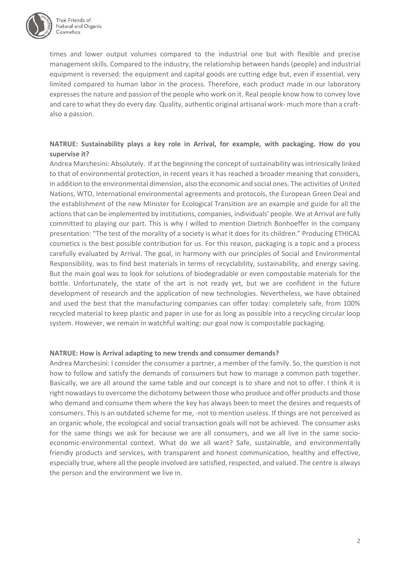

times and lower output volumes compared to the industrial one but with flexible and precise management skills. Compared to the industry, the relationship between hands (people) and industrial equipment is reversed: the equipment and capital goods are cutting edge but, even if essential, very limited compared to human labor in the process. Therefore, each product made in our laboratory expresses the nature and passion of the people who work on it. Real people know how to convey love and care to what they do every day. Quality, authentic original artisanal work- much more than a craftalso a passion.

# **NATRUE: Sustainability plays a key role in Arrival, for example, with packaging. How do you supervise it?**

Andrea Marchesini: Absolutely. If at the beginning the concept of sustainability was intrinsically linked to that of environmental protection, in recent years it has reached a broader meaning that considers, in addition to the environmental dimension, also the economic and social ones. The activities of United Nations, WTO, International environmental agreements and protocols, the European Green Deal and the establishment of the new Minister for Ecological Transition are an example and guide for all the actions that can be implemented by institutions, companies, individuals' people. We at Arrival are fully committed to playing our part. This is why I willed to mention Dietrich Bonhoeffer in the company presentation: "The test of the morality of a society is what it does for its children." Producing ETHICAL cosmetics is the best possible contribution for us. For this reason, packaging is a topic and a process carefully evaluated by Arrival. The goal, in harmony with our principles of Social and Environmental Responsibility, was to find best materials in terms of recyclability, sustainability, and energy saving. But the main goal was to look for solutions of biodegradable or even compostable materials for the bottle. Unfortunately, the state of the art is not ready yet, but we are confident in the future development of research and the application of new technologies. Nevertheless, we have obtained and used the best that the manufacturing companies can offer today: completely safe, from 100% recycled material to keep plastic and paper in use for as long as possible into a recycling circular loop system. However, we remain in watchful waiting: our goal now is compostable packaging.

#### **NATRUE: How is Arrival adapting to new trends and consumer demands?**

Andrea Marchesini: I consider the consumer a partner, a member of the family. So, the question is not how to follow and satisfy the demands of consumers but how to manage a common path together. Basically, we are all around the same table and our concept is to share and not to offer. I think it is right nowadays to overcome the dichotomy between those who produce and offer products and those who demand and consume them where the key has always been to meet the desires and requests of consumers. This is an outdated scheme for me, -not to mention useless. If things are not perceived as an organic whole, the ecological and social transaction goals will not be achieved. The consumer asks for the same things we ask for because we are all consumers, and we all live in the same socioeconomic-environmental context. What do we all want? Safe, sustainable, and environmentally friendly products and services, with transparent and honest communication, healthy and effective, especially true, where all the people involved are satisfied, respected, and valued. The centre is always the person and the environment we live in.